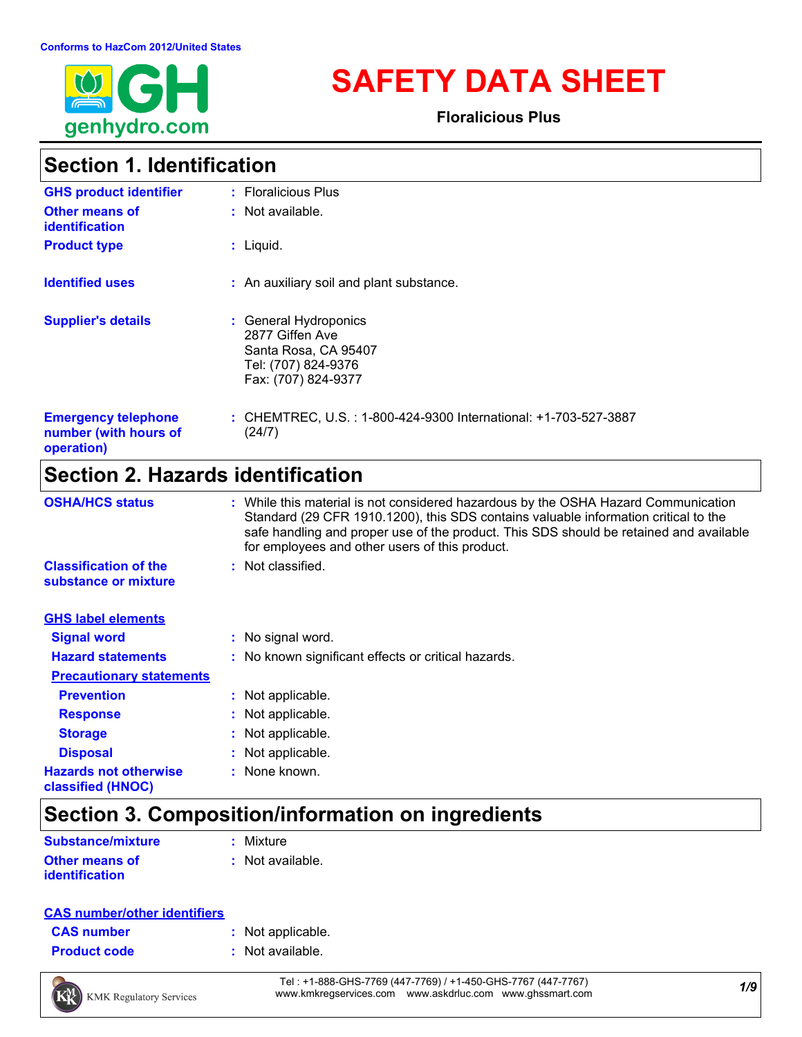

# **SAFETY DATA SHEET**

**Floralicious Plus**

### **Section 1. Identification**

| <b>GHS product identifier</b>                                     | : Floralicious Plus                                                                                            |
|-------------------------------------------------------------------|----------------------------------------------------------------------------------------------------------------|
| <b>Other means of</b><br><i>identification</i>                    | : Not available.                                                                                               |
| <b>Product type</b>                                               | $:$ Liquid.                                                                                                    |
| <b>Identified uses</b>                                            | : An auxiliary soil and plant substance.                                                                       |
| <b>Supplier's details</b>                                         | : General Hydroponics<br>2877 Giffen Ave<br>Santa Rosa, CA 95407<br>Tel: (707) 824-9376<br>Fax: (707) 824-9377 |
| <b>Emergency telephone</b><br>number (with hours of<br>operation) | : CHEMTREC, U.S. : 1-800-424-9300 International: +1-703-527-3887<br>(24/7)                                     |

### **Section 2. Hazards identification**

| <b>OSHA/HCS status</b>                               | : While this material is not considered hazardous by the OSHA Hazard Communication<br>Standard (29 CFR 1910.1200), this SDS contains valuable information critical to the<br>safe handling and proper use of the product. This SDS should be retained and available<br>for employees and other users of this product. |
|------------------------------------------------------|-----------------------------------------------------------------------------------------------------------------------------------------------------------------------------------------------------------------------------------------------------------------------------------------------------------------------|
| <b>Classification of the</b><br>substance or mixture | : Not classified.                                                                                                                                                                                                                                                                                                     |
| <b>GHS label elements</b>                            |                                                                                                                                                                                                                                                                                                                       |
| <b>Signal word</b>                                   | : No signal word.                                                                                                                                                                                                                                                                                                     |
| <b>Hazard statements</b>                             | : No known significant effects or critical hazards.                                                                                                                                                                                                                                                                   |
| <b>Precautionary statements</b>                      |                                                                                                                                                                                                                                                                                                                       |
| <b>Prevention</b>                                    | : Not applicable.                                                                                                                                                                                                                                                                                                     |
| <b>Response</b>                                      | : Not applicable.                                                                                                                                                                                                                                                                                                     |
| <b>Storage</b>                                       | : Not applicable.                                                                                                                                                                                                                                                                                                     |
| <b>Disposal</b>                                      | : Not applicable.                                                                                                                                                                                                                                                                                                     |
| <b>Hazards not otherwise</b><br>classified (HNOC)    | : None known.                                                                                                                                                                                                                                                                                                         |

### **Section 3. Composition/information on ingredients**

| <b>Substance/mixture</b> | : Mixture          |
|--------------------------|--------------------|
| <b>Other means of</b>    | $:$ Not available. |
| <i>identification</i>    |                    |

#### **CAS number/other identifiers**

| <b>CAS number</b> |  |  |
|-------------------|--|--|
|                   |  |  |

- **:** Not applicable.
- **Product code :** Not available.



*1/9* Tel : +1-888-GHS-7769 (447-7769) / +1-450-GHS-7767 (447-7767) www.kmkregservices.com www.askdrluc.com www.ghssmart.com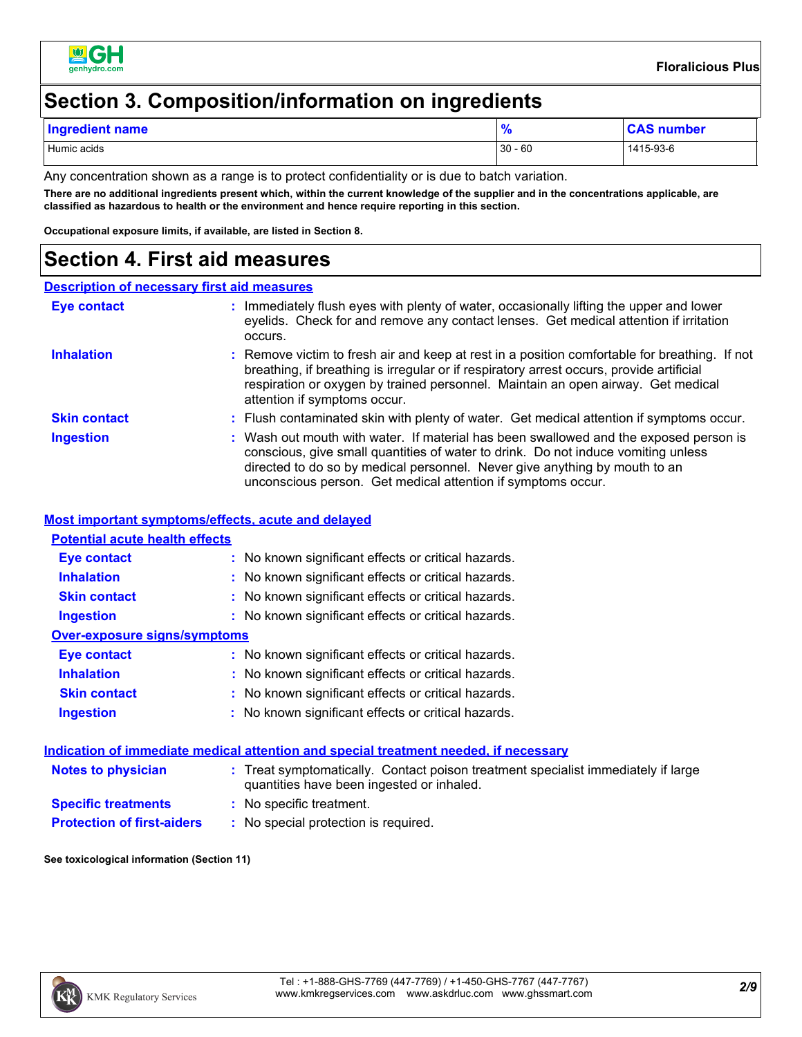

#### **Section 3. Composition/information on ingredients**

| <b>Ingredient name</b> | <b>0</b><br>70 | A C<br>number |
|------------------------|----------------|---------------|
| Humic acids            | $-60$<br>30    | 1415-93-6     |

Any concentration shown as a range is to protect confidentiality or is due to batch variation.

**There are no additional ingredients present which, within the current knowledge of the supplier and in the concentrations applicable, are classified as hazardous to health or the environment and hence require reporting in this section.**

**Occupational exposure limits, if available, are listed in Section 8.**

#### **Section 4. First aid measures**

#### **Description of necessary first aid measures**

| Eye contact         | : Immediately flush eyes with plenty of water, occasionally lifting the upper and lower<br>eyelids. Check for and remove any contact lenses. Get medical attention if irritation<br>occurs.                                                                                                                              |
|---------------------|--------------------------------------------------------------------------------------------------------------------------------------------------------------------------------------------------------------------------------------------------------------------------------------------------------------------------|
| <b>Inhalation</b>   | : Remove victim to fresh air and keep at rest in a position comfortable for breathing. If not<br>breathing, if breathing is irregular or if respiratory arrest occurs, provide artificial<br>respiration or oxygen by trained personnel. Maintain an open airway. Get medical<br>attention if symptoms occur.            |
| <b>Skin contact</b> | : Flush contaminated skin with plenty of water. Get medical attention if symptoms occur.                                                                                                                                                                                                                                 |
| <b>Ingestion</b>    | : Wash out mouth with water. If material has been swallowed and the exposed person is<br>conscious, give small quantities of water to drink. Do not induce vomiting unless<br>directed to do so by medical personnel. Never give anything by mouth to an<br>unconscious person. Get medical attention if symptoms occur. |

#### **Most important symptoms/effects, acute and delayed**

| <u>MOSE IMPORTANTE SYMPTOMIS/GNOGO, AGUIG ANU UGIAYGU</u> |                                                     |
|-----------------------------------------------------------|-----------------------------------------------------|
| <b>Potential acute health effects</b>                     |                                                     |
| Eye contact                                               | : No known significant effects or critical hazards. |
| <b>Inhalation</b>                                         | : No known significant effects or critical hazards. |
| <b>Skin contact</b>                                       | : No known significant effects or critical hazards. |
| <b>Ingestion</b>                                          | : No known significant effects or critical hazards. |
| Over-exposure signs/symptoms                              |                                                     |
| Eye contact                                               | : No known significant effects or critical hazards. |
| <b>Inhalation</b>                                         | : No known significant effects or critical hazards. |
| <b>Skin contact</b>                                       | : No known significant effects or critical hazards. |
| <b>Ingestion</b>                                          | : No known significant effects or critical hazards. |
|                                                           |                                                     |

#### **Indication of immediate medical attention and special treatment needed, if necessary**

| <b>Notes to physician</b>         | : Treat symptomatically. Contact poison treatment specialist immediately if large<br>quantities have been ingested or inhaled. |  |
|-----------------------------------|--------------------------------------------------------------------------------------------------------------------------------|--|
| <b>Specific treatments</b>        | : No specific treatment.                                                                                                       |  |
| <b>Protection of first-aiders</b> | : No special protection is required.                                                                                           |  |

#### **See toxicological information (Section 11)**

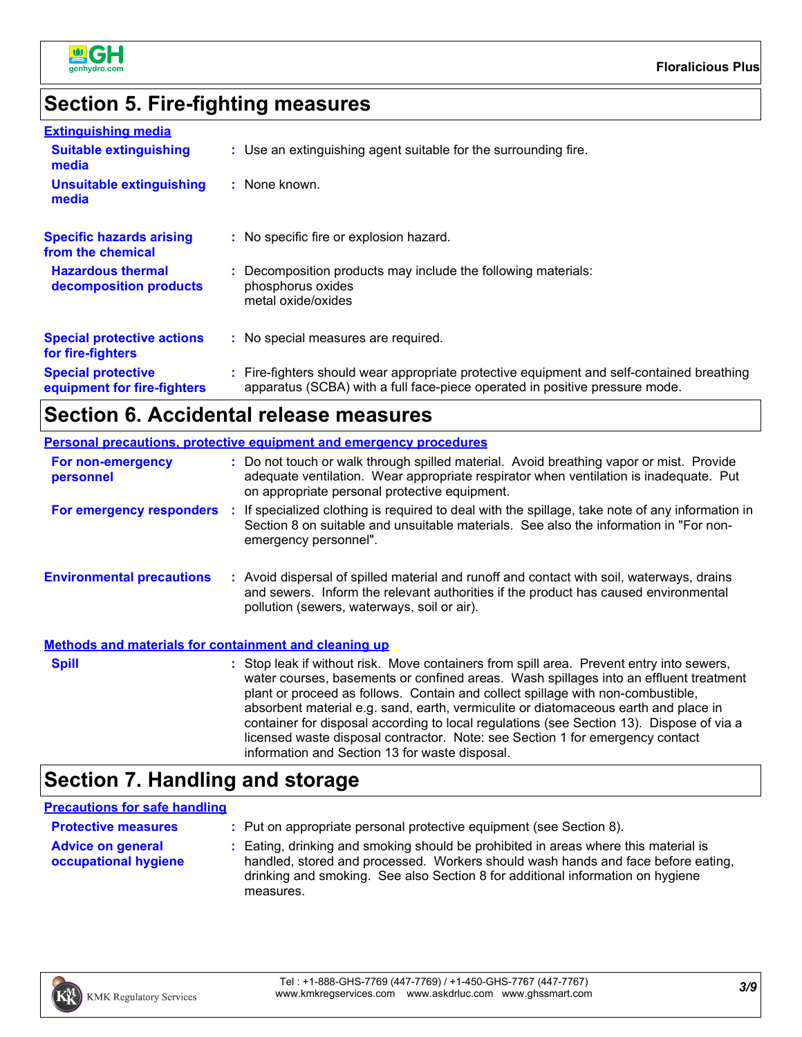

#### **Section 5. Fire-fighting measures**

| <b>Extinguishing media</b>                               |                                                                                                                                                                          |
|----------------------------------------------------------|--------------------------------------------------------------------------------------------------------------------------------------------------------------------------|
| <b>Suitable extinguishing</b><br>media                   | : Use an extinguishing agent suitable for the surrounding fire.                                                                                                          |
| <b>Unsuitable extinguishing</b><br>media                 | : None known.                                                                                                                                                            |
| <b>Specific hazards arising</b><br>from the chemical     | : No specific fire or explosion hazard.                                                                                                                                  |
| <b>Hazardous thermal</b><br>decomposition products       | : Decomposition products may include the following materials:<br>phosphorus oxides<br>metal oxide/oxides                                                                 |
| <b>Special protective actions</b><br>for fire-fighters   | : No special measures are required.                                                                                                                                      |
| <b>Special protective</b><br>equipment for fire-fighters | : Fire-fighters should wear appropriate protective equipment and self-contained breathing<br>apparatus (SCBA) with a full face-piece operated in positive pressure mode. |

### **Section 6. Accidental release measures**

|                                                              | <b>Personal precautions, protective equipment and emergency procedures</b>                                                                                                                                                                                                                                                                                                                                                                                                                                                               |
|--------------------------------------------------------------|------------------------------------------------------------------------------------------------------------------------------------------------------------------------------------------------------------------------------------------------------------------------------------------------------------------------------------------------------------------------------------------------------------------------------------------------------------------------------------------------------------------------------------------|
| For non-emergency<br>personnel                               | : Do not touch or walk through spilled material. Avoid breathing vapor or mist. Provide<br>adequate ventilation. Wear appropriate respirator when ventilation is inadequate. Put<br>on appropriate personal protective equipment.                                                                                                                                                                                                                                                                                                        |
| For emergency responders :                                   | If specialized clothing is required to deal with the spillage, take note of any information in<br>Section 8 on suitable and unsuitable materials. See also the information in "For non-<br>emergency personnel".                                                                                                                                                                                                                                                                                                                         |
| <b>Environmental precautions</b>                             | : Avoid dispersal of spilled material and runoff and contact with soil, waterways, drains<br>and sewers. Inform the relevant authorities if the product has caused environmental<br>pollution (sewers, waterways, soil or air).                                                                                                                                                                                                                                                                                                          |
| <b>Methods and materials for containment and cleaning up</b> |                                                                                                                                                                                                                                                                                                                                                                                                                                                                                                                                          |
| <b>Spill</b>                                                 | : Stop leak if without risk. Move containers from spill area. Prevent entry into sewers,<br>water courses, basements or confined areas. Wash spillages into an effluent treatment<br>plant or proceed as follows. Contain and collect spillage with non-combustible,<br>absorbent material e.g. sand, earth, vermiculite or diatomaceous earth and place in<br>container for disposal according to local regulations (see Section 13). Dispose of via a<br>licensed waste disposal contractor. Note: see Section 1 for emergency contact |

### **Section 7. Handling and storage**

#### **Precautions for safe handling**

| <b>Protective measures</b>                       | : Put on appropriate personal protective equipment (see Section 8).                                                                                                                                                                                                    |
|--------------------------------------------------|------------------------------------------------------------------------------------------------------------------------------------------------------------------------------------------------------------------------------------------------------------------------|
| <b>Advice on general</b><br>occupational hygiene | : Eating, drinking and smoking should be prohibited in areas where this material is<br>handled, stored and processed. Workers should wash hands and face before eating,<br>drinking and smoking. See also Section 8 for additional information on hygiene<br>measures. |

information and Section 13 for waste disposal.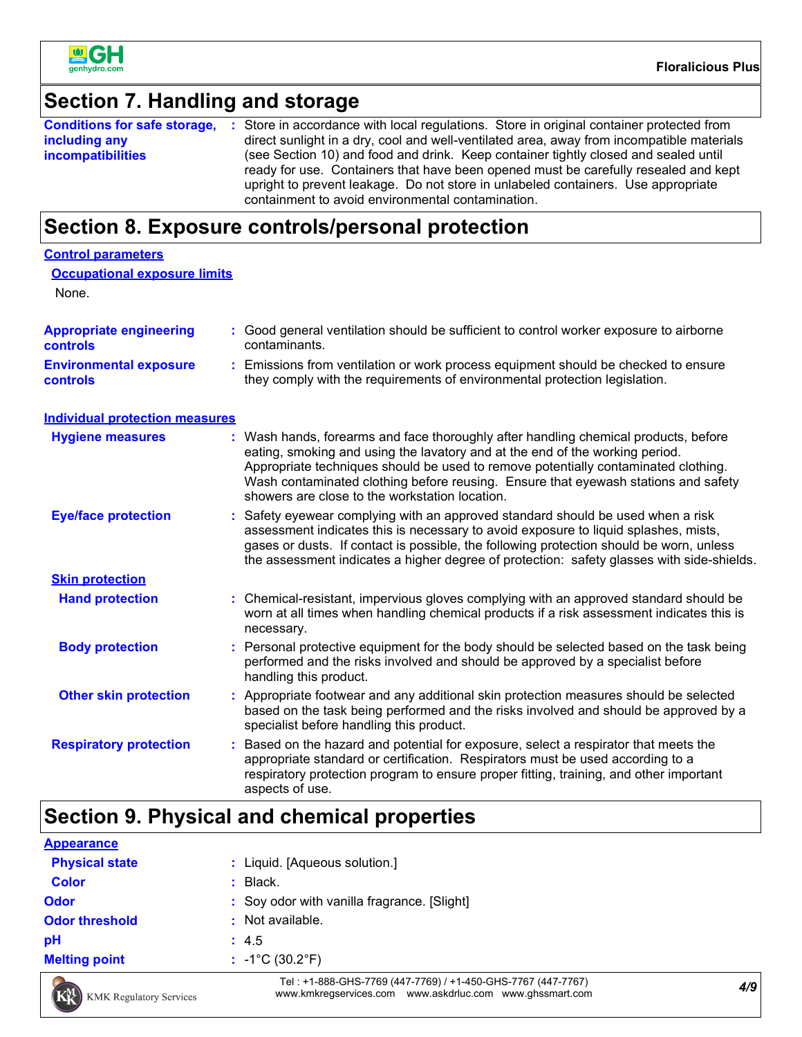

### **Section 7. Handling and storage**

|                          | <b>Conditions for safe storage, :</b> Store in accordance with local regulations. Store in original container protected from |
|--------------------------|------------------------------------------------------------------------------------------------------------------------------|
| including any            | direct sunlight in a dry, cool and well-ventilated area, away from incompatible materials                                    |
| <i>incompatibilities</i> | (see Section 10) and food and drink. Keep container tightly closed and sealed until                                          |
|                          | ready for use. Containers that have been opened must be carefully resealed and kept                                          |
|                          | upright to prevent leakage. Do not store in unlabeled containers. Use appropriate                                            |
|                          | containment to avoid environmental contamination.                                                                            |

# **Section 8. Exposure controls/personal protection**

| <b>Control parameters</b>                  |                                                                                                                                                                                                                                                                                                                                                                                                 |
|--------------------------------------------|-------------------------------------------------------------------------------------------------------------------------------------------------------------------------------------------------------------------------------------------------------------------------------------------------------------------------------------------------------------------------------------------------|
| <b>Occupational exposure limits</b>        |                                                                                                                                                                                                                                                                                                                                                                                                 |
| None.                                      |                                                                                                                                                                                                                                                                                                                                                                                                 |
|                                            |                                                                                                                                                                                                                                                                                                                                                                                                 |
| <b>Appropriate engineering</b><br>controls | : Good general ventilation should be sufficient to control worker exposure to airborne<br>contaminants.                                                                                                                                                                                                                                                                                         |
| <b>Environmental exposure</b><br>controls  | : Emissions from ventilation or work process equipment should be checked to ensure<br>they comply with the requirements of environmental protection legislation.                                                                                                                                                                                                                                |
| <b>Individual protection measures</b>      |                                                                                                                                                                                                                                                                                                                                                                                                 |
| <b>Hygiene measures</b>                    | Wash hands, forearms and face thoroughly after handling chemical products, before<br>eating, smoking and using the lavatory and at the end of the working period.<br>Appropriate techniques should be used to remove potentially contaminated clothing.<br>Wash contaminated clothing before reusing. Ensure that eyewash stations and safety<br>showers are close to the workstation location. |
| <b>Eye/face protection</b>                 | Safety eyewear complying with an approved standard should be used when a risk<br>assessment indicates this is necessary to avoid exposure to liquid splashes, mists,<br>gases or dusts. If contact is possible, the following protection should be worn, unless<br>the assessment indicates a higher degree of protection: safety glasses with side-shields.                                    |
| <b>Skin protection</b>                     |                                                                                                                                                                                                                                                                                                                                                                                                 |
| <b>Hand protection</b>                     | : Chemical-resistant, impervious gloves complying with an approved standard should be<br>worn at all times when handling chemical products if a risk assessment indicates this is<br>necessary.                                                                                                                                                                                                 |
| <b>Body protection</b>                     | : Personal protective equipment for the body should be selected based on the task being<br>performed and the risks involved and should be approved by a specialist before<br>handling this product.                                                                                                                                                                                             |
| <b>Other skin protection</b>               | : Appropriate footwear and any additional skin protection measures should be selected<br>based on the task being performed and the risks involved and should be approved by a<br>specialist before handling this product.                                                                                                                                                                       |
| <b>Respiratory protection</b>              | Based on the hazard and potential for exposure, select a respirator that meets the<br>÷.<br>appropriate standard or certification. Respirators must be used according to a<br>respiratory protection program to ensure proper fitting, training, and other important<br>aspects of use.                                                                                                         |

## **Section 9. Physical and chemical properties**

| <b>Appearance</b>     |                                                               |  |
|-----------------------|---------------------------------------------------------------|--|
| <b>Physical state</b> | Liquid. [Aqueous solution.]<br>÷.                             |  |
| <b>Color</b>          | Black.                                                        |  |
| <b>Odor</b>           | : Soy odor with vanilla fragrance. [Slight]                   |  |
| <b>Odor threshold</b> | : Not available.                                              |  |
| pH                    | : 4.5                                                         |  |
| <b>Melting point</b>  | $: -1^{\circ}C(30.2^{\circ}F)$                                |  |
|                       | Tel : +1-888-GHS-7769 (447-7769) / +1-450-GHS-7767 (447-7767) |  |



*4/9* Tel : +1-888-GHS-7769 (447-7769) / +1-450-GHS-7767 (447-7767) www.kmkregservices.com www.askdrluc.com www.ghssmart.com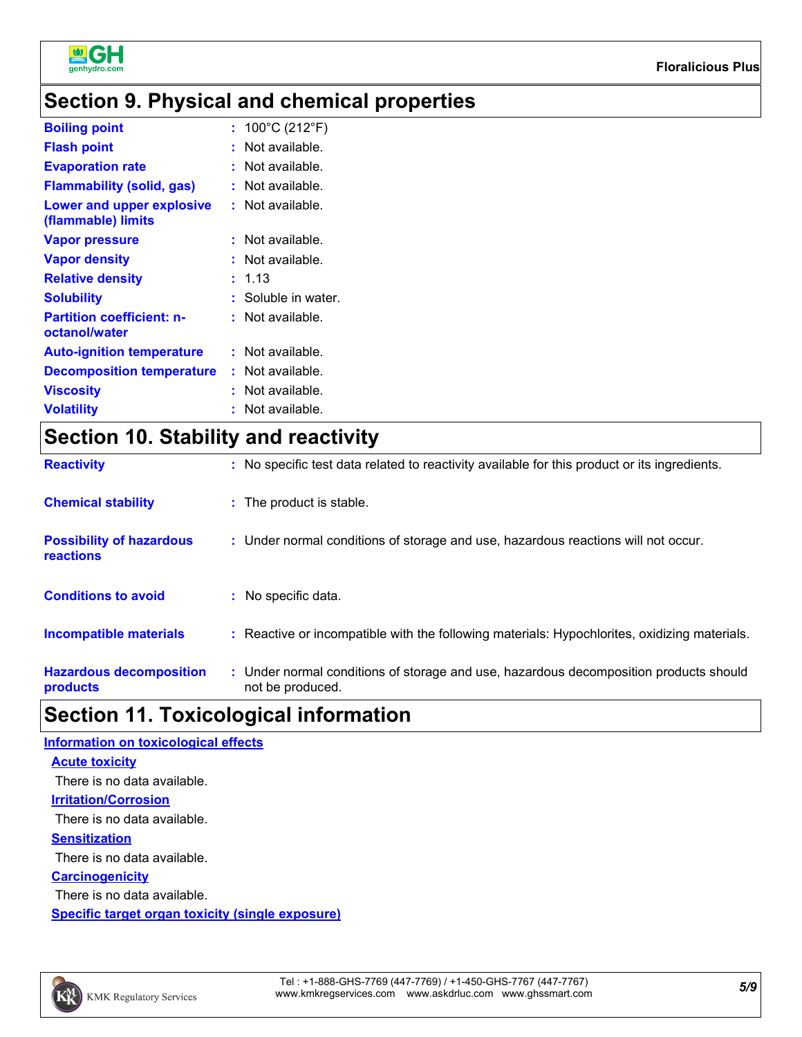

### **Section 9. Physical and chemical properties**

| <b>Boiling point</b>                              | : $100^{\circ}$ C (212 $^{\circ}$ F) |
|---------------------------------------------------|--------------------------------------|
| <b>Flash point</b>                                | $:$ Not available.                   |
| <b>Evaporation rate</b>                           | $:$ Not available.                   |
| <b>Flammability (solid, gas)</b>                  | : Not available.                     |
| Lower and upper explosive<br>(flammable) limits   | $:$ Not available.                   |
| <b>Vapor pressure</b>                             | $:$ Not available.                   |
| <b>Vapor density</b>                              | $:$ Not available.                   |
| <b>Relative density</b>                           | : 1.13                               |
| <b>Solubility</b>                                 | : Soluble in water.                  |
| <b>Partition coefficient: n-</b><br>octanol/water | $:$ Not available.                   |
| <b>Auto-ignition temperature</b>                  | $:$ Not available.                   |
| <b>Decomposition temperature</b>                  | $:$ Not available.                   |
| <b>Viscosity</b>                                  | $:$ Not available.                   |
| <b>Volatility</b>                                 | $:$ Not available.                   |

# **Section 10. Stability and reactivity**

| <b>Reactivity</b>                            | : No specific test data related to reactivity available for this product or its ingredients.              |
|----------------------------------------------|-----------------------------------------------------------------------------------------------------------|
| <b>Chemical stability</b>                    | : The product is stable.                                                                                  |
| <b>Possibility of hazardous</b><br>reactions | : Under normal conditions of storage and use, hazardous reactions will not occur.                         |
| <b>Conditions to avoid</b>                   | : No specific data.                                                                                       |
| <b>Incompatible materials</b>                | : Reactive or incompatible with the following materials: Hypochlorites, oxidizing materials.              |
| <b>Hazardous decomposition</b><br>products   | : Under normal conditions of storage and use, hazardous decomposition products should<br>not be produced. |

### **Section 11. Toxicological information**

| <b>Information on toxicological effects</b>      |
|--------------------------------------------------|
| <b>Acute toxicity</b>                            |
| There is no data available.                      |
| <b>Irritation/Corrosion</b>                      |
| There is no data available.                      |
| <b>Sensitization</b>                             |
| There is no data available.                      |
| <b>Carcinogenicity</b>                           |
| There is no data available.                      |
| Specific target organ toxicity (single exposure) |

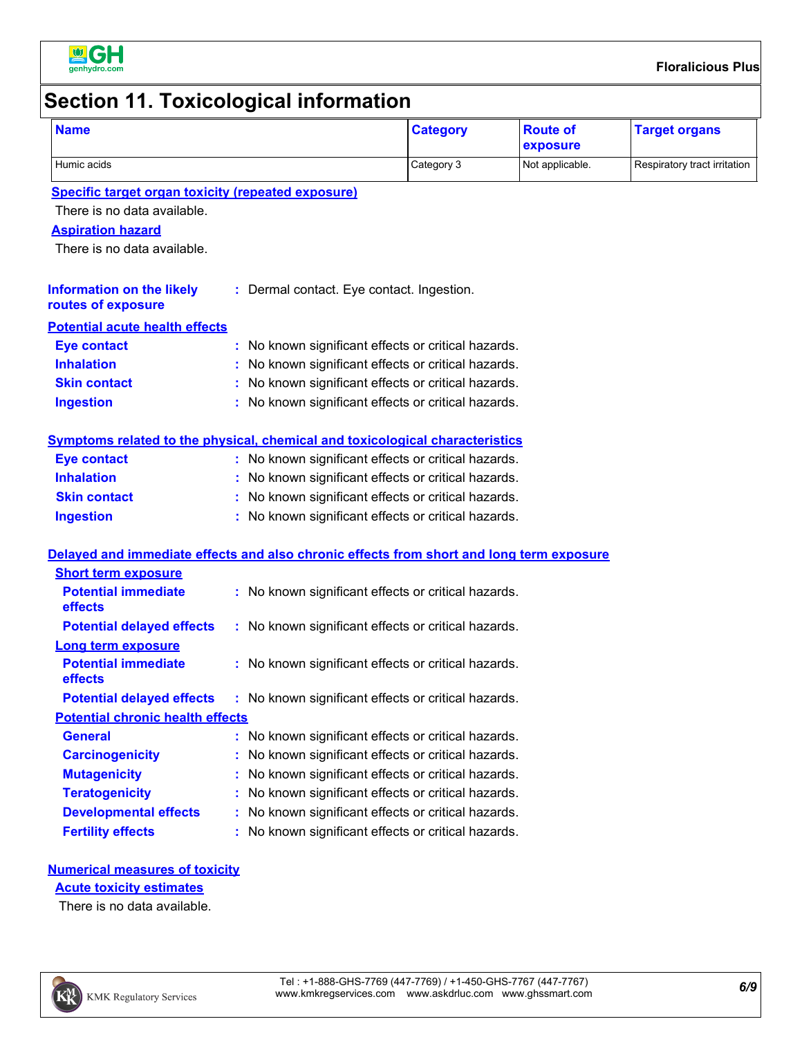

# **Section 11. Toxicological information**

| <b>Name</b>                                                                              | <b>Category</b>                                                               | <b>Route of</b><br>exposure | <b>Target organs</b>         |
|------------------------------------------------------------------------------------------|-------------------------------------------------------------------------------|-----------------------------|------------------------------|
| Humic acids                                                                              | Category 3                                                                    | Not applicable.             | Respiratory tract irritation |
| <b>Specific target organ toxicity (repeated exposure)</b>                                |                                                                               |                             |                              |
| There is no data available.                                                              |                                                                               |                             |                              |
| <b>Aspiration hazard</b>                                                                 |                                                                               |                             |                              |
| There is no data available.                                                              |                                                                               |                             |                              |
| <b>Information on the likely</b><br>routes of exposure                                   | : Dermal contact. Eye contact. Ingestion.                                     |                             |                              |
| <b>Potential acute health effects</b>                                                    |                                                                               |                             |                              |
| <b>Eye contact</b>                                                                       | : No known significant effects or critical hazards.                           |                             |                              |
| <b>Inhalation</b>                                                                        | : No known significant effects or critical hazards.                           |                             |                              |
| <b>Skin contact</b>                                                                      | : No known significant effects or critical hazards.                           |                             |                              |
| <b>Ingestion</b>                                                                         | : No known significant effects or critical hazards.                           |                             |                              |
| Symptoms related to the physical, chemical and toxicological characteristics             |                                                                               |                             |                              |
| <b>Eye contact</b>                                                                       | : No known significant effects or critical hazards.                           |                             |                              |
| <b>Inhalation</b>                                                                        | : No known significant effects or critical hazards.                           |                             |                              |
| <b>Skin contact</b>                                                                      | : No known significant effects or critical hazards.                           |                             |                              |
| <b>Ingestion</b>                                                                         | : No known significant effects or critical hazards.                           |                             |                              |
| Delayed and immediate effects and also chronic effects from short and long term exposure |                                                                               |                             |                              |
| <b>Short term exposure</b>                                                               |                                                                               |                             |                              |
| <b>Potential immediate</b><br>effects                                                    | : No known significant effects or critical hazards.                           |                             |                              |
| <b>Potential delayed effects</b>                                                         | : No known significant effects or critical hazards.                           |                             |                              |
| <b>Long term exposure</b>                                                                |                                                                               |                             |                              |
| <b>Potential immediate</b><br>effects                                                    | : No known significant effects or critical hazards.                           |                             |                              |
|                                                                                          | Potential delayed effects : No known significant effects or critical hazards. |                             |                              |
| <b>Potential chronic health effects</b>                                                  |                                                                               |                             |                              |
| <b>General</b>                                                                           | : No known significant effects or critical hazards.                           |                             |                              |
| <b>Carcinogenicity</b>                                                                   | : No known significant effects or critical hazards.                           |                             |                              |
| <b>Mutagenicity</b>                                                                      | No known significant effects or critical hazards.                             |                             |                              |
| <b>Teratogenicity</b>                                                                    | : No known significant effects or critical hazards.                           |                             |                              |
| <b>Developmental effects</b>                                                             | : No known significant effects or critical hazards.                           |                             |                              |
| <b>Fertility effects</b>                                                                 | : No known significant effects or critical hazards.                           |                             |                              |
| <b>Numerical measures of toxicity</b>                                                    |                                                                               |                             |                              |
| <b>Acute toxicity estimates</b>                                                          |                                                                               |                             |                              |
| There is no deta oveilable                                                               |                                                                               |                             |                              |

There is no data available.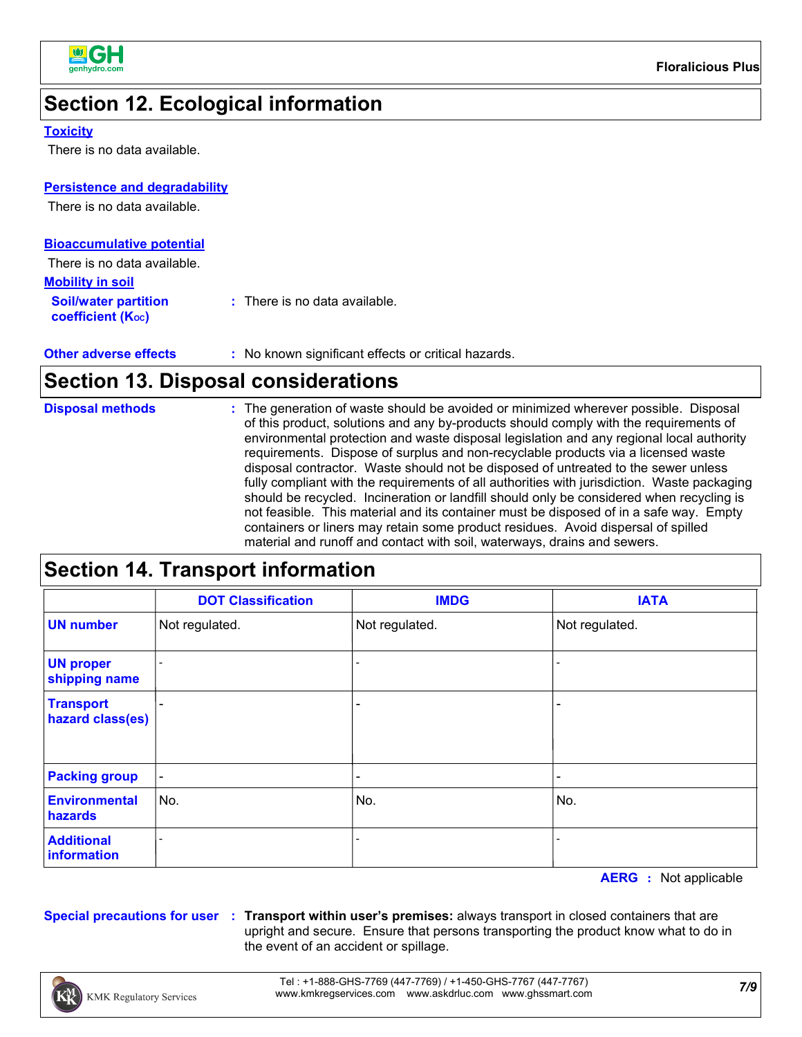

### **Section 12. Ecological information**

#### **Toxicity**

There is no data available.

#### **Persistence and degradability**

There is no data available.

| <b>Bioaccumulative potential</b>                 |                                          |
|--------------------------------------------------|------------------------------------------|
| There is no data available.                      |                                          |
| <b>Mobility in soil</b>                          |                                          |
| <b>Soil/water partition</b><br>coefficient (Koc) | $\therefore$ There is no data available. |

| <b>Other adverse effects</b> | : No known significant effects or critical hazards. |
|------------------------------|-----------------------------------------------------|
|------------------------------|-----------------------------------------------------|

#### **Section 13. Disposal considerations**

| : The generation of waste should be avoided or minimized wherever possible. Disposal<br><b>Disposal methods</b><br>of this product, solutions and any by-products should comply with the requirements of<br>environmental protection and waste disposal legislation and any regional local authority<br>requirements. Dispose of surplus and non-recyclable products via a licensed waste<br>disposal contractor. Waste should not be disposed of untreated to the sewer unless<br>fully compliant with the requirements of all authorities with jurisdiction. Waste packaging<br>should be recycled. Incineration or landfill should only be considered when recycling is<br>not feasible. This material and its container must be disposed of in a safe way. Empty<br>containers or liners may retain some product residues. Avoid dispersal of spilled<br>material and runoff and contact with soil, waterways, drains and sewers. |
|---------------------------------------------------------------------------------------------------------------------------------------------------------------------------------------------------------------------------------------------------------------------------------------------------------------------------------------------------------------------------------------------------------------------------------------------------------------------------------------------------------------------------------------------------------------------------------------------------------------------------------------------------------------------------------------------------------------------------------------------------------------------------------------------------------------------------------------------------------------------------------------------------------------------------------------|

### **Section 14. Transport information**

|                                      | <b>DOT Classification</b> | <b>IMDG</b>              | <b>IATA</b>                  |  |  |
|--------------------------------------|---------------------------|--------------------------|------------------------------|--|--|
| <b>UN number</b>                     | Not regulated.            | Not regulated.           | Not regulated.               |  |  |
| <b>UN proper</b><br>shipping name    |                           |                          |                              |  |  |
| <b>Transport</b><br>hazard class(es) | $\overline{\phantom{0}}$  |                          | $\qquad \qquad \blacksquare$ |  |  |
| <b>Packing group</b>                 | $\blacksquare$            | $\overline{\phantom{0}}$ | $\qquad \qquad \blacksquare$ |  |  |
| <b>Environmental</b><br>hazards      | No.                       | No.                      | No.                          |  |  |
| <b>Additional</b><br>information     |                           |                          |                              |  |  |

**AERG :** Not applicable

**Special precautions for user Transport within user's premises:** always transport in closed containers that are **:** upright and secure. Ensure that persons transporting the product know what to do in the event of an accident or spillage.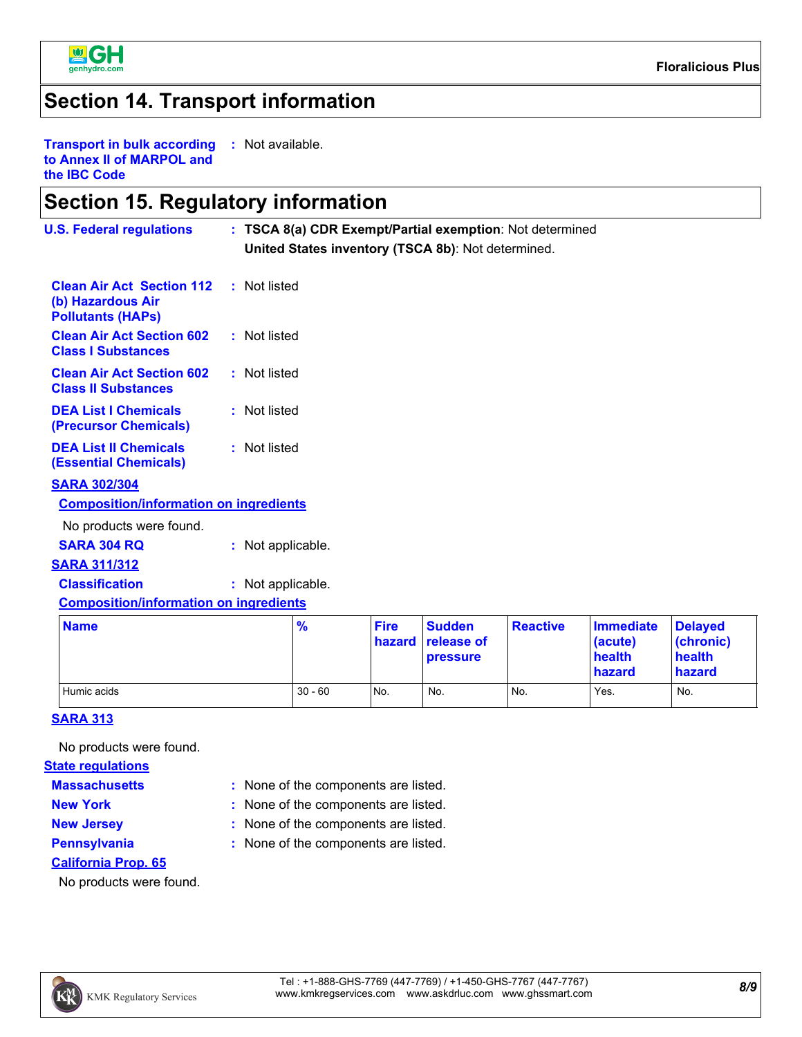

#### **Section 14. Transport information**

**Transport in bulk according to Annex II of MARPOL and the IBC Code :** Not available.

#### **Section 15. Regulatory information**

| <b>U.S. Federal regulations</b>                                                   | : TSCA 8(a) CDR Exempt/Partial exemption: Not determined<br>United States inventory (TSCA 8b): Not determined. |                       |                             |                 |                                            |                                                    |
|-----------------------------------------------------------------------------------|----------------------------------------------------------------------------------------------------------------|-----------------------|-----------------------------|-----------------|--------------------------------------------|----------------------------------------------------|
| <b>Clean Air Act Section 112</b><br>(b) Hazardous Air<br><b>Pollutants (HAPS)</b> | : Not listed                                                                                                   |                       |                             |                 |                                            |                                                    |
| <b>Clean Air Act Section 602</b><br><b>Class I Substances</b>                     | : Not listed                                                                                                   |                       |                             |                 |                                            |                                                    |
| <b>Clean Air Act Section 602</b><br><b>Class II Substances</b>                    | : Not listed                                                                                                   |                       |                             |                 |                                            |                                                    |
| <b>DEA List I Chemicals</b><br>(Precursor Chemicals)                              | : Not listed                                                                                                   |                       |                             |                 |                                            |                                                    |
| <b>DEA List II Chemicals</b><br><b>(Essential Chemicals)</b>                      | : Not listed                                                                                                   |                       |                             |                 |                                            |                                                    |
| <b>SARA 302/304</b>                                                               |                                                                                                                |                       |                             |                 |                                            |                                                    |
| <b>Composition/information on ingredients</b>                                     |                                                                                                                |                       |                             |                 |                                            |                                                    |
| No products were found.                                                           |                                                                                                                |                       |                             |                 |                                            |                                                    |
| <b>SARA 304 RQ</b>                                                                | : Not applicable.                                                                                              |                       |                             |                 |                                            |                                                    |
| <b>SARA 311/312</b>                                                               |                                                                                                                |                       |                             |                 |                                            |                                                    |
| <b>Classification</b>                                                             | : Not applicable.                                                                                              |                       |                             |                 |                                            |                                                    |
| <b>Composition/information on ingredients</b>                                     |                                                                                                                |                       |                             |                 |                                            |                                                    |
| <b>Name</b>                                                                       | $\frac{9}{6}$                                                                                                  | <b>Fire</b><br>hazard | <b>Sudden</b><br>release of | <b>Reactive</b> | <b>Immediate</b><br>(acute)<br>$\sim -141$ | <b>Delayed</b><br>(chronic)<br>المستحققات والمستحد |

| <b>INAILIE</b> | 70        | гне             | <b>P</b> ouguer<br><b>hazard</b> release of<br><b>pressure</b> | <b>Reacuve</b> | <u>IIIIIIeulate</u><br>(acute)<br>health<br>hazard | <u><b>I</b>Delayeu</u><br>(chronic)<br>health<br>hazard |  |
|----------------|-----------|-----------------|----------------------------------------------------------------|----------------|----------------------------------------------------|---------------------------------------------------------|--|
| Humic acids    | $30 - 60$ | IN <sub>O</sub> | No.                                                            | No.            | Yes.                                               | No.                                                     |  |

#### **SARA 313**

No products were found.

#### **State regulations**

**Massachusetts**

- 
- 
- 
- None of the components are listed. **:**
- **New York :** None of the components are listed.
- 
- 
- **New Jersey :** None of the components are listed.
	-
- **Pennsylvania :** None of the components are listed.
- **California Prop. 65**

No products were found.

 $\text{K}\!\! \text{W})$ KMK Regulatory Services